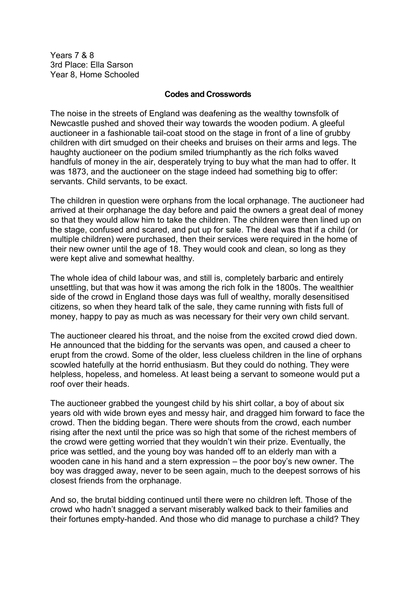Years 7 & 8 3rd Place: Ella Sarson Year 8, Home Schooled

## **Codes and Crosswords**

The noise in the streets of England was deafening as the wealthy townsfolk of Newcastle pushed and shoved their way towards the wooden podium. A gleeful auctioneer in a fashionable tail-coat stood on the stage in front of a line of grubby children with dirt smudged on their cheeks and bruises on their arms and legs. The haughty auctioneer on the podium smiled triumphantly as the rich folks waved handfuls of money in the air, desperately trying to buy what the man had to offer. It was 1873, and the auctioneer on the stage indeed had something big to offer: servants. Child servants, to be exact.

The children in question were orphans from the local orphanage. The auctioneer had arrived at their orphanage the day before and paid the owners a great deal of money so that they would allow him to take the children. The children were then lined up on the stage, confused and scared, and put up for sale. The deal was that if a child (or multiple children) were purchased, then their services were required in the home of their new owner until the age of 18. They would cook and clean, so long as they were kept alive and somewhat healthy.

The whole idea of child labour was, and still is, completely barbaric and entirely unsettling, but that was how it was among the rich folk in the 1800s. The wealthier side of the crowd in England those days was full of wealthy, morally desensitised citizens, so when they heard talk of the sale, they came running with fists full of money, happy to pay as much as was necessary for their very own child servant.

The auctioneer cleared his throat, and the noise from the excited crowd died down. He announced that the bidding for the servants was open, and caused a cheer to erupt from the crowd. Some of the older, less clueless children in the line of orphans scowled hatefully at the horrid enthusiasm. But they could do nothing. They were helpless, hopeless, and homeless. At least being a servant to someone would put a roof over their heads.

The auctioneer grabbed the youngest child by his shirt collar, a boy of about six years old with wide brown eyes and messy hair, and dragged him forward to face the crowd. Then the bidding began. There were shouts from the crowd, each number rising after the next until the price was so high that some of the richest members of the crowd were getting worried that they wouldn't win their prize. Eventually, the price was settled, and the young boy was handed off to an elderly man with a wooden cane in his hand and a stern expression – the poor boy's new owner. The boy was dragged away, never to be seen again, much to the deepest sorrows of his closest friends from the orphanage.

And so, the brutal bidding continued until there were no children left. Those of the crowd who hadn't snagged a servant miserably walked back to their families and their fortunes empty-handed. And those who did manage to purchase a child? They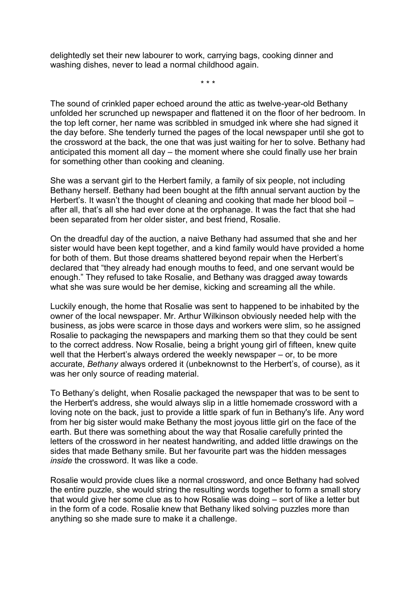delightedly set their new labourer to work, carrying bags, cooking dinner and washing dishes, never to lead a normal childhood again.

\* \* \*

The sound of crinkled paper echoed around the attic as twelve-year-old Bethany unfolded her scrunched up newspaper and flattened it on the floor of her bedroom. In the top left corner, her name was scribbled in smudged ink where she had signed it the day before. She tenderly turned the pages of the local newspaper until she got to the crossword at the back, the one that was just waiting for her to solve. Bethany had anticipated this moment all day – the moment where she could finally use her brain for something other than cooking and cleaning.

She was a servant girl to the Herbert family, a family of six people, not including Bethany herself. Bethany had been bought at the fifth annual servant auction by the Herbert's. It wasn't the thought of cleaning and cooking that made her blood boil – after all, that's all she had ever done at the orphanage. It was the fact that she had been separated from her older sister, and best friend, Rosalie.

On the dreadful day of the auction, a naive Bethany had assumed that she and her sister would have been kept together, and a kind family would have provided a home for both of them. But those dreams shattered beyond repair when the Herbert's declared that "they already had enough mouths to feed, and one servant would be enough." They refused to take Rosalie, and Bethany was dragged away towards what she was sure would be her demise, kicking and screaming all the while.

Luckily enough, the home that Rosalie was sent to happened to be inhabited by the owner of the local newspaper. Mr. Arthur Wilkinson obviously needed help with the business, as jobs were scarce in those days and workers were slim, so he assigned Rosalie to packaging the newspapers and marking them so that they could be sent to the correct address. Now Rosalie, being a bright young girl of fifteen, knew quite well that the Herbert's always ordered the weekly newspaper – or, to be more accurate, *Bethany* always ordered it (unbeknownst to the Herbert's, of course), as it was her only source of reading material.

To Bethany's delight, when Rosalie packaged the newspaper that was to be sent to the Herbert's address, she would always slip in a little homemade crossword with a loving note on the back, just to provide a little spark of fun in Bethany's life. Any word from her big sister would make Bethany the most joyous little girl on the face of the earth. But there was something about the way that Rosalie carefully printed the letters of the crossword in her neatest handwriting, and added little drawings on the sides that made Bethany smile. But her favourite part was the hidden messages *inside* the crossword. It was like a code.

Rosalie would provide clues like a normal crossword, and once Bethany had solved the entire puzzle, she would string the resulting words together to form a small story that would give her some clue as to how Rosalie was doing – sort of like a letter but in the form of a code. Rosalie knew that Bethany liked solving puzzles more than anything so she made sure to make it a challenge.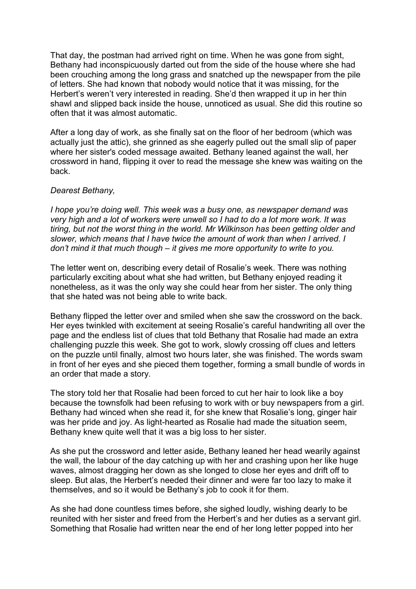That day, the postman had arrived right on time. When he was gone from sight, Bethany had inconspicuously darted out from the side of the house where she had been crouching among the long grass and snatched up the newspaper from the pile of letters. She had known that nobody would notice that it was missing, for the Herbert's weren't very interested in reading. She'd then wrapped it up in her thin shawl and slipped back inside the house, unnoticed as usual. She did this routine so often that it was almost automatic.

After a long day of work, as she finally sat on the floor of her bedroom (which was actually just the attic), she grinned as she eagerly pulled out the small slip of paper where her sister's coded message awaited. Bethany leaned against the wall, her crossword in hand, flipping it over to read the message she knew was waiting on the back.

## *Dearest Bethany,*

*I hope you're doing well. This week was a busy one, as newspaper demand was very high and a lot of workers were unwell so I had to do a lot more work. It was tiring, but not the worst thing in the world. Mr Wilkinson has been getting older and slower, which means that I have twice the amount of work than when I arrived. I don't mind it that much though – it gives me more opportunity to write to you.* 

The letter went on, describing every detail of Rosalie's week. There was nothing particularly exciting about what she had written, but Bethany enjoyed reading it nonetheless, as it was the only way she could hear from her sister. The only thing that she hated was not being able to write back.

Bethany flipped the letter over and smiled when she saw the crossword on the back. Her eyes twinkled with excitement at seeing Rosalie's careful handwriting all over the page and the endless list of clues that told Bethany that Rosalie had made an extra challenging puzzle this week. She got to work, slowly crossing off clues and letters on the puzzle until finally, almost two hours later, she was finished. The words swam in front of her eyes and she pieced them together, forming a small bundle of words in an order that made a story.

The story told her that Rosalie had been forced to cut her hair to look like a boy because the townsfolk had been refusing to work with or buy newspapers from a girl. Bethany had winced when she read it, for she knew that Rosalie's long, ginger hair was her pride and joy. As light-hearted as Rosalie had made the situation seem, Bethany knew quite well that it was a big loss to her sister.

As she put the crossword and letter aside, Bethany leaned her head wearily against the wall, the labour of the day catching up with her and crashing upon her like huge waves, almost dragging her down as she longed to close her eyes and drift off to sleep. But alas, the Herbert's needed their dinner and were far too lazy to make it themselves, and so it would be Bethany's job to cook it for them.

As she had done countless times before, she sighed loudly, wishing dearly to be reunited with her sister and freed from the Herbert's and her duties as a servant girl. Something that Rosalie had written near the end of her long letter popped into her